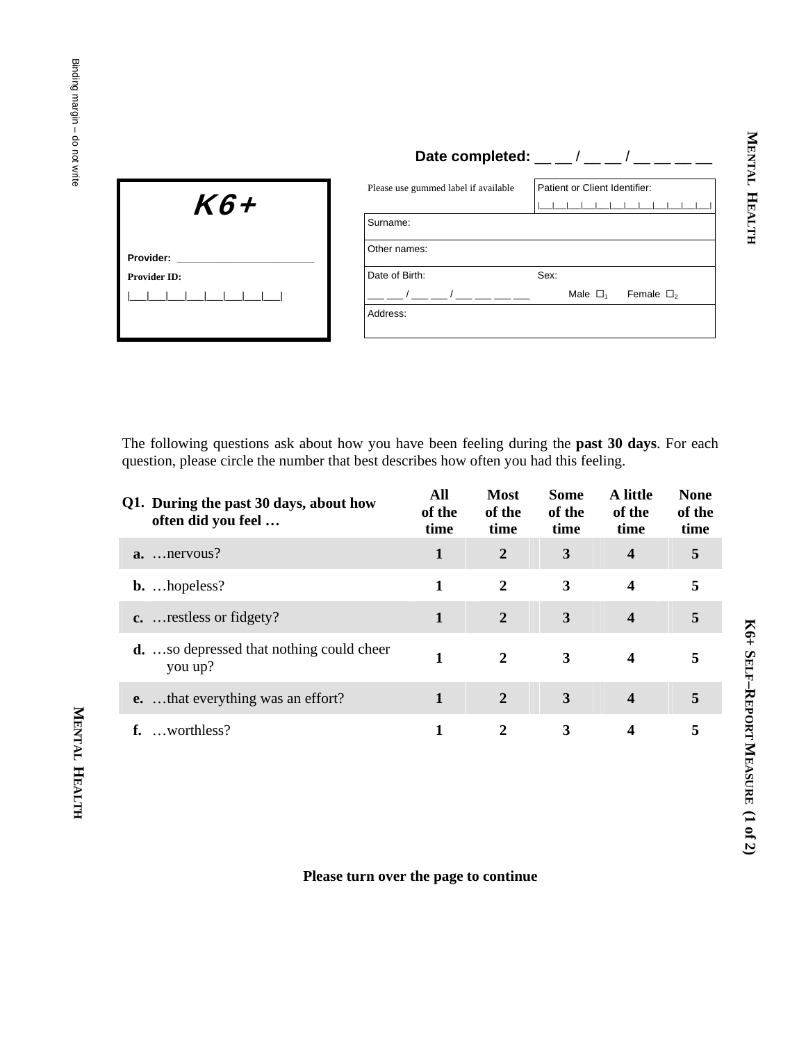|                     |                                      | Date completed: $\frac{1}{2}$ $\frac{1}{2}$ $\frac{1}{2}$ $\frac{1}{2}$ $\frac{1}{2}$ $\frac{1}{2}$ $\frac{1}{2}$ $\frac{1}{2}$ $\frac{1}{2}$ $\frac{1}{2}$ $\frac{1}{2}$ $\frac{1}{2}$ $\frac{1}{2}$ $\frac{1}{2}$ $\frac{1}{2}$ $\frac{1}{2}$ $\frac{1}{2}$ $\frac{1}{2}$ $\frac{1}{2}$ $\frac{1}{2}$ $\frac{1$ |  |  |
|---------------------|--------------------------------------|-------------------------------------------------------------------------------------------------------------------------------------------------------------------------------------------------------------------------------------------------------------------------------------------------------------------|--|--|
| K6+                 | Please use gummed label if available | Patient or Client Identifier:                                                                                                                                                                                                                                                                                     |  |  |
|                     | Surname:                             |                                                                                                                                                                                                                                                                                                                   |  |  |
| Provider:           | Other names:                         |                                                                                                                                                                                                                                                                                                                   |  |  |
| <b>Provider ID:</b> | Date of Birth:                       | Sex:                                                                                                                                                                                                                                                                                                              |  |  |
|                     |                                      | Male $\Box$ <sub>1</sub><br>Female $\Box$                                                                                                                                                                                                                                                                         |  |  |

Address:

The following questions ask about how you have been feeling during the **past 30 days**. For each question, please circle the number that best describes how often you had this feeling.

|    | Q1. During the past 30 days, about how<br>often did you feel | All<br>of the<br>time | <b>Most</b><br>of the<br>time | <b>Some</b><br>of the<br>time | A little<br>of the<br>time | <b>None</b><br>of the<br>time |
|----|--------------------------------------------------------------|-----------------------|-------------------------------|-------------------------------|----------------------------|-------------------------------|
|    | $a.$ nervous?                                                | 1                     | $\overline{2}$                | 3                             | $\overline{\mathbf{4}}$    | 5                             |
|    | $b. hopeless?$                                               |                       | 2                             | 3                             | 4                          | 5                             |
|    | $\mathbf{c}$ .  restless or fidgety?                         |                       | $\overline{2}$                | 3                             | $\overline{\mathbf{4}}$    | 5                             |
|    | <b>d.</b> so depressed that nothing could cheer<br>you up?   | 1                     | 2                             | 3                             | 4                          |                               |
|    | <b>e.</b> that everything was an effort?                     |                       | 2                             | 3                             | 4                          | 5                             |
| f. | worthless?                                                   |                       |                               | 3                             | 4                          |                               |

**MENTAL** 

MENTAL HEALTH

**HEALTH**

## **Please turn over the page to continue**